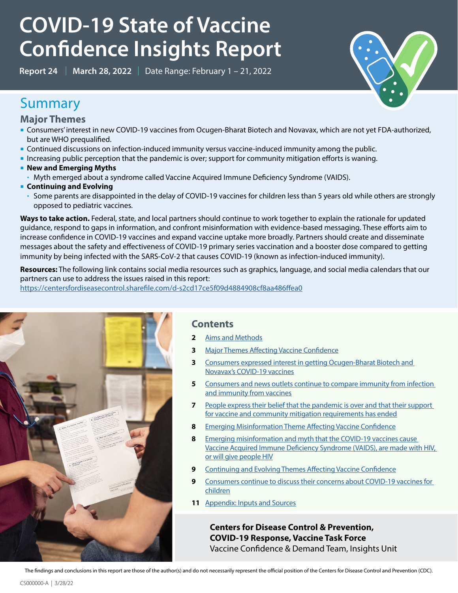# **COVID-19 State of Vaccine Confidence Insights Report**

**Report 24** | **March 28, 2022** | Date Range: February 1 – 21, 2022



## Summary

**Major Themes**

- Consumers' interest in new COVID-19 vaccines from Ocugen-Bharat Biotech and Novavax, which are not yet FDA-authorized, but are WHO prequalified.
- Continued discussions on infection-induced immunity versus vaccine-induced immunity among the public.
- Increasing public perception that the pandemic is over; support for community mitigation efforts is waning.
- **New and Emerging Myths** 
	- Myth emerged about a syndrome called Vaccine Acquired Immune Deficiency Syndrome (VAIDS).
- **EXECUTE: Continuing and Evolving** 
	- Some parents are disappointed in the delay of COVID-19 vaccines for children less than 5 years old while others are strongly opposed to pediatric vaccines.

Ways to take action. Federal, state, and local partners should continue to work together to explain the rationale for updated guidance, respond to gaps in information, and confront misinformation with evidence-based messaging. These efforts aim to increase confidence in COVID-19 vaccines and expand vaccine uptake more broadly. Partners should create and disseminate messages about the safety and effectiveness of COVID-19 primary series vaccination and a booster dose compared to getting immunity by being infected with the SARS-CoV-2 that causes COVID-19 (known as infection-induced immunity).

**Resources:** The following link contains social media resources such as graphics, language, and social media calendars that our partners can use to address the issues raised in this report:

https://centersfordiseasecontrol.sharefile.com/d-s2cd17ce5f09d4884908cf8aa486ffea0



## **Contents**

- **2** [Aims and Methods](#page-1-0)
- **3** [Major Themes Affecting Vaccine Confidence](#page-2-0)
- **3** [Consumers expressed interest in getting Ocugen-Bharat Biotech and](#page-2-1)  [Novavax's COVID-19 vaccines](#page-2-1)
- **5** [Consumers and news outlets continue to compare immunity from infection](#page-4-0)  [and immunity from vaccines](#page-4-0)
- **7** [People express their belief that the pandemic is over and that their support](#page-6-0)  [for vaccine and community mitigation requirements has ended](#page-6-0)
- **8** [Emerging Misinformation Theme Affecting Vaccine Confidence](#page-7-0)
- **8** [Emerging misinformation and myth that the COVID-19 vaccines cause](#page-7-1)  [Vaccine Acquired Immune Deficiency Syndrome \(VAIDS\), are made with HIV,](#page-7-1)  [or will give people HIV](#page-7-1)
- **9** [Continuing and Evolving Themes Affecting Vaccine Confidence](#page-8-0)
- **9** [Consumers continue to discuss their concerns about COVID-19 vaccines for](#page-8-1)  [children](#page-8-1)
- **11** [Appendix: Inputs and Sources](#page-10-0)

**Centers for Disease Control & Prevention, COVID-19 Response, Vaccine Task Force** Vaccine Confidence & Demand Team, Insights Unit

The findings and conclusions in this report are those of the author(s) and do not necessarily represent the official position of the Centers for Disease Control and Prevention (CDC).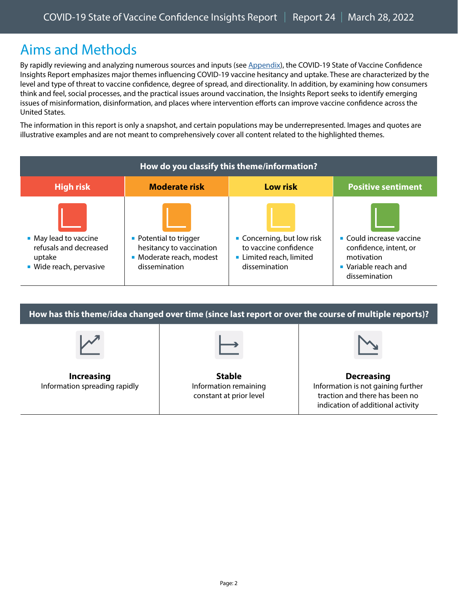# <span id="page-1-0"></span>Aims and Methods

By rapidly reviewing and analyzing numerous sources and inputs (see [Appendix\)](#page-10-0), the COVID-19 State of Vaccine Confidence Insights Report emphasizes major themes influencing COVID-19 vaccine hesitancy and uptake. These are characterized by the level and type of threat to vaccine confidence, degree of spread, and directionality. In addition, by examining how consumers think and feel, social processes, and the practical issues around vaccination, the Insights Report seeks to identify emerging issues of misinformation, disinformation, and places where intervention efforts can improve vaccine confidence across the United States.

The information in this report is only a snapshot, and certain populations may be underrepresented. Images and quotes are illustrative examples and are not meant to comprehensively cover all content related to the highlighted themes.

| How do you classify this theme/information?                                          |                                                                                                 |                                                                                                |                                                                                                           |  |  |  |  |
|--------------------------------------------------------------------------------------|-------------------------------------------------------------------------------------------------|------------------------------------------------------------------------------------------------|-----------------------------------------------------------------------------------------------------------|--|--|--|--|
| <b>High risk</b>                                                                     | <b>Moderate risk</b>                                                                            | <b>Low risk</b>                                                                                | <b>Positive sentiment</b>                                                                                 |  |  |  |  |
| • May lead to vaccine<br>refusals and decreased<br>uptake<br>■ Wide reach, pervasive | • Potential to trigger<br>hesitancy to vaccination<br>• Moderate reach, modest<br>dissemination | • Concerning, but low risk<br>to vaccine confidence<br>Limited reach, limited<br>dissemination | • Could increase vaccine<br>confidence, intent, or<br>motivation<br>• Variable reach and<br>dissemination |  |  |  |  |

**How has this theme/idea changed over time (since last report or over the course of multiple reports)? Increasing** Information spreading rapidly **Stable** Information remaining constant at prior level **Decreasing** Information is not gaining further traction and there has been no indication of additional activity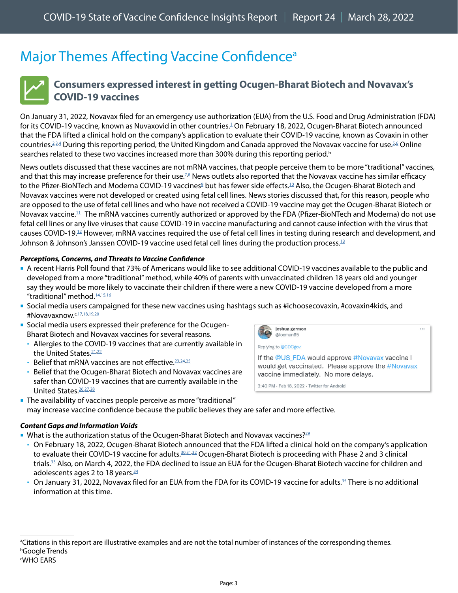# <span id="page-2-0"></span>Major Themes Affecting Vaccine Confidence<sup>a</sup>



## <span id="page-2-1"></span>**Consumers expressed interest in getting Ocugen-Bharat Biotech and Novavax's COVID-19 vaccines**

On January 31, 2022, Novavax filed for an emergency use authorization (EUA) from the U.S. Food and Drug Administration (FDA) for its COVID-[1](https://www.prevention.com/health/a38951114/novavax-covid-vaccine-eua/)9 vaccine, known as Nuvaxovid in other countries. $^1$  On February 18, 2022, Ocugen-Bharat Biotech announced that the FDA lifted a clinical hold on the company's application to evaluate their COVID-19 vaccine, known as Covaxin in other countries.<sup>[2](https://theprint.in/india/covaxin-to-be-evaluated-as-covid-19-vaccine-candidate-in-us-bharat-biotech/838537/)[,3](https://finance.yahoo.com/news/ocugen-inc-announces-u-fda-222500031.html),[4](https://www.moneycontrol.com/news/business/united-states-to-evaluate-covaxin-as-covid-19-vaccine-candidate-bharat-biotech-8137481.html)</sup> During this reporting period, the United Kingdom and Canada approved the Novavax vaccine for use.<sup>5[,6](https://www.reuters.com/business/healthcare-pharmaceuticals/canada-approves-novavaxs-covid-19-vaccine-2022-02-17/)</sup> Online searches related to these two vaccines increased more than 300% during this reporting period.<sup>b</sup>

News outlets discussed that these vaccines are not mRNA vaccines, that people perceive them to be more "traditional" vaccines, and that this may increase preference for their use. $^{\rm ZB}$  News outlets also reported that the Novavax vaccine has similar efficacy to the Pfizer-BioNTech and Moderna COVID-1[9](https://khn.org/morning-breakout/novavax-says-its-shot-is-80-effective-in-teens/) vaccines $^{\circ}$  but has fewer side effects. $^{10}$  $^{10}$  $^{10}$  Also, the Ocugen-Bharat Biotech and Novavax vaccines were not developed or created using fetal cell lines. News stories discussed that, for this reason, people who are opposed to the use of fetal cell lines and who have not received a COVID-19 vaccine may get the Ocugen-Bharat Biotech or Novavax vaccine.[11](https://religionnews.com/2022/02/18/could-novavax-win-over-some-religious-vaccine-skeptics/) The mRNA vaccines currently authorized or approved by the FDA (Pfizer-BioNTech and Moderna) do not use fetal cell lines or any live viruses that cause COVID-19 in vaccine manufacturing and cannot cause infection with the virus that causes COVID-19[.12](https://www.cdc.gov/coronavirus/2019-ncov/vaccines/different-vaccines/mrna.html) However, mRNA vaccines required the use of fetal cell lines in testing during research and development, and Johnson & Johnson's Janssen COVID-19 vaccine used fetal cell lines during the production process.<sup>13</sup>

### *Perceptions, Concerns, and Threats to Vaccine Confidence*

- A recent Harris Poll found that 73% of Americans would like to see additional COVID-19 vaccines available to the public and developed from a more "traditional" method, while 40% of parents with unvaccinated children 18 years old and younger say they would be more likely to vaccinate their children if there were a new COVID-19 vaccine developed from a more "traditional" method.<sup>14,[15](https://www.kulr8.com/news/money/ocugen-harris-poll-finds-americans-want-more-covid-19-vaccine-options/article_ab1f118c-d4a8-5adc-8270-bf20c2dd493a.html)[,16](https://twitter.com/germanh42341755/status/1491871797599518730)</sup>
- Social media users campaigned for these new vaccines using hashtags such as #ichoosecovaxin, #covaxin4kids, and #Novavaxnow. <. [17](https://twitter.com/DrAyguenSahin/status/1488623532959490051), 18, [19](https://twitter.com/KRob55737385/status/1491169701959184385), 20
- Social media users expressed their preference for the Ocugen-Bharat Biotech and Novavax vaccines for several reasons.
	- Allergies to the COVID-19 vaccines that are currently available in the United States.<sup>21,[22](https://www.facebook.com/cdc/posts/321990413295737?comment_id=322012373293541&__cft__%5b0%5d=AZVeq7N0ygz_ahZ2tKO-QqeCEZszhCp4Xq0hqMtpxSGIzqPIw9i_4dHld5qiclMg8mnRM60cOqAneI7EwOZUsZrOgujUDEEo_edijUAb3Bqp7MY8vFwjKV8R6UmAoxTzbDdwOvEtbczXnLnDa4Qwh620&__tn__=R%5d-R)</sup>
	- Belief that mRNA vaccines are not effective.<sup>[23,](https://twitter.com/GuyCreal/status/1491132385102286848)[24](https://twitter.com/GuyCreal/status/1491476492391493637),[25](https://twitter.com/SibVA19/status/1492557010587422720)</sup>
	- Belief that the Ocugen-Bharat Biotech and Novavax vaccines are safer than COVID-19 vaccines that are currently available in the United States.<sup>26,[27](https://twitter.com/MomNovavax/status/1492514681705181185),[28](https://twitter.com/GuyCreal/status/1493651992274771976)</sup>



 The availability of vaccines people perceive as more "traditional" may increase vaccine confidence because the public believes they are safer and more effective.

#### *Content Gaps and Information Voids*

- What is the authorization status of the Ocugen-Bharat Biotech and Novavax vaccines?<sup>29</sup>
	- On February 18, 2022, Ocugen-Bharat Biotech announced that the FDA lifted a clinical hold on the company's application to evaluate their COVID-19 vaccine for adults.<sup>[30](https://theprint.in/india/covaxin-to-be-evaluated-as-covid-19-vaccine-candidate-in-us-bharat-biotech/838537/)[,31,](https://finance.yahoo.com/news/ocugen-inc-announces-u-fda-222500031.html)[32](https://www.moneycontrol.com/news/business/united-states-to-evaluate-covaxin-as-covid-19-vaccine-candidate-bharat-biotech-8137481.html)</sup> Ocugen-Bharat Biotech is proceeding with Phase 2 and 3 clinical trials[.33](https://www.biospace.com/article/releases/ocugen-provides-business-update-with-fourth-quarter-and-full-year-2021-financial-results/) Also, on March 4, 2022, the FDA declined to issue an EUA for the Ocugen-Bharat Biotech vaccine for children and adolescents ages 2 to 18 years. $34$
	- On January 31, 2022, Novavax filed for an EUA from the FDA for its COVID-19 vaccine for adults.<sup>35</sup> There is no additional information at this time.

a Citations in this report are illustrative examples and are not the total number of instances of the corresponding themes. b Google Trends c WHO EARS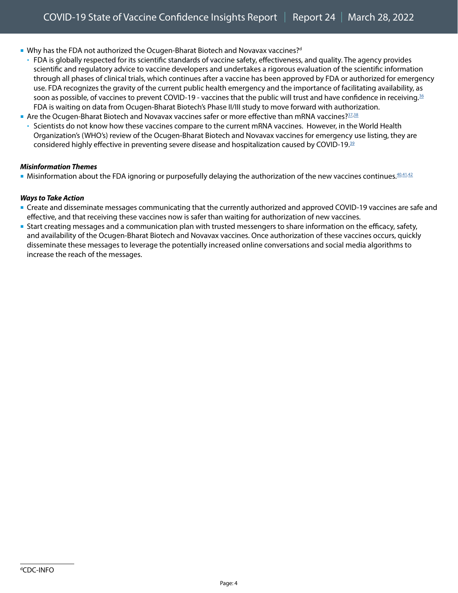- Why has the FDA not authorized the Ocugen-Bharat Biotech and Novavax vaccines?<sup>d</sup>
	- FDA is globally respected for its scientific standards of vaccine safety, effectiveness, and quality. The agency provides scientific and regulatory advice to vaccine developers and undertakes a rigorous evaluation of the scientific information through all phases of clinical trials, which continues after a vaccine has been approved by FDA or authorized for emergency use. FDA recognizes the gravity of the current public health emergency and the importance of facilitating availability, as soon as possible, of vaccines to prevent COVID-19 - vaccines that the public will trust and have confidence in receiving.<sup>[36](https://www.fda.gov/vaccines-blood-biologics/vaccines/emergency-use-authorization-vaccines-explained)</sup> FDA is waiting on data from Ocugen-Bharat Biotech's Phase II/III study to move forward with authorization.
- Are the Ocugen-Bharat Biotech and Novavax vaccines safer or more effective than mRNA vaccines?  $37,38$  $37,38$ 
	- Scientists do not know how these vaccines compare to the current mRNA vaccines. However, in the World Health Organization's (WHO's) review of the Ocugen-Bharat Biotech and Novavax vaccines for emergency use listing, they are considered highly effective in preventing severe disease and hospitalization caused by COVID-19.[39](https://www.who.int/news-room/feature-stories/detail/the-bharat-biotech-bbv152-covaxin-vaccine-against-covid-19-what-you-need-to-know)

#### *Misinformation Themes*

Misinformation about the FDA ignoring or purposefully delaying the authorization of the new vaccines continues. [40](https://twitter.com/Marcos_Pimenta2/status/1491852157058002947)[,41](https://twitter.com/Marcos_Pimenta2/status/1495981179207663616),[42](https://www.gettr.com/post/pvqxeh95c0)

- Create and disseminate messages communicating that the currently authorized and approved COVID-19 vaccines are safe and effective, and that receiving these vaccines now is safer than waiting for authorization of new vaccines.
- Start creating messages and a communication plan with trusted messengers to share information on the efficacy, safety, and availability of the Ocugen-Bharat Biotech and Novavax vaccines. Once authorization of these vaccines occurs, quickly disseminate these messages to leverage the potentially increased online conversations and social media algorithms to increase the reach of the messages.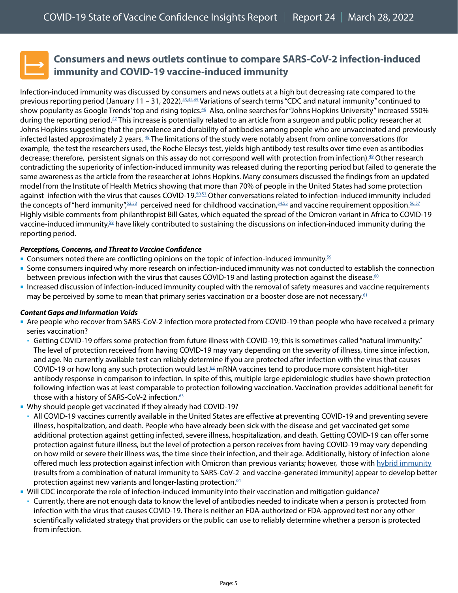

## <span id="page-4-0"></span>**Consumers and news outlets continue to compare SARS-CoV-2 infection-induced immunity and COVID-19 vaccine-induced immunity**

Infection-induced immunity was discussed by consumers and news outlets at a high but decreasing rate compared to the previous reporting period (January 11 – 31, 2022). $43,44,45$  $43,44,45$  $43,44,45$  Variations of search terms "CDC and natural immunity" continued to show popularity as Google Trends' top and rising topics.<sup>46</sup> Also, online searches for "Johns Hopkins University" increased 550% during the reporting period[.47](https://trends.google.com/trends/explore?date=2022-02-01%202022-02-21&geo=US&q=natural%20immunity,%2Fg%2F11j8_9sv06) This increase is potentially related to an article from a surgeon and public policy researcher at Johns Hopkins suggesting that the prevalence and durability of antibodies among people who are unvaccinated and previously infected lasted approximately 2 years.  $48$  The limitations of the study were notably absent from online conversations (for example, the test the researchers used, the Roche Elecsys test, yields high antibody test results over time even as antibodies decrease; therefore, persistent signals on this assay do not correspond well with protection from infection). [49](https://www.ncbi.nlm.nih.gov/pmc/articles/PMC8393518/) Other research contradicting the superiority of infection-induced immunity was released during the reporting period but failed to generate the same awareness as the article from the researcher at Johns Hopkins. Many consumers discussed the findings from an updated model from the Institute of Health Metrics showing that more than 70% of people in the United States had some protection against infection with the virus that causes COVID-19[.50](https://twitter.com/drewtoothpaste/status/1494373782718488582),[51](https://www.gettr.com/post/pvd7nrfc12) Other conversations related to infection-induced immunity included the concepts of "herd immunity", $52,53$  $52,53$  perceived need for childhood vaccination, $54,55$  and vaccine requirement opposition. $56,57$ Highly visible comments from philanthropist Bill Gates, which equated the spread of the Omicron variant in Africa to COVID-19 vaccine-induced immunity,<sup>[58](https://www.gettr.com/post/pvtfvaa671)</sup> have likely contributed to sustaining the discussions on infection-induced immunity during the reporting period.

#### *Perceptions, Concerns, and Threat to Vaccine Confidence*

- Gonsumers noted there are conflicting opinions on the topic of infection-induced immunity.<sup>[59](https://twitter.com/jita65/status/1493630441144094720)</sup>
- Some consumers inquired why more research on infection-induced immunity was not conducted to establish the connection between previous infection with the virus that causes COVID-19 and lasting protection against the disease.<sup>60</sup>
- Increased discussion of infection-induced immunity coupled with the removal of safety measures and vaccine requirements may be perceived by some to mean that primary series vaccination or a booster dose are not necessary.<sup>61</sup>

### *Content Gaps and Information Voids*

- Are people who recover from SARS-CoV-2 infection more protected from COVID-19 than people who have received a primary series vaccination?
	- Getting COVID-19 offers some protection from future illness with COVID-19; this is sometimes called "natural immunity." The level of protection received from having COVID-19 may vary depending on the severity of illness, time since infection, and age. No currently available test can reliably determine if you are protected after infection with the virus that causes COVID-19 or how long any such protection would last.<sup>[62](https://www.cdc.gov/coronavirus/2019-ncov/vaccines/facts.html?s_cid=11714:infection%20induced%20immunity:sem.ga:p:RG:GM:gen:PTN:FY22)</sup> mRNA vaccines tend to produce more consistent high-titer antibody response in comparison to infection. In spite of this, multiple large epidemiologic studies have shown protection following infection was at least comparable to protection following vaccination. Vaccination provides additional benefit for those with a history of SARS-CoV-2 infection.<sup>63</sup>
- Why should people get vaccinated if they already had COVID-19?
- All COVID-19 vaccines currently available in the United States are effective at preventing COVID-19 and preventing severe illness, hospitalization, and death. People who have already been sick with the disease and get vaccinated get some additional protection against getting infected, severe illness, hospitalization, and death. Getting COVID-19 can offer some protection against future illness, but the level of protection a person receives from having COVID-19 may vary depending on how mild or severe their illness was, the time since their infection, and their age. Additionally, history of infection alone offered much less protection against infection with Omicron than previous variants; however, those with [hybrid immunity](https://www.science.org/doi/full/10.1126/science.abj2258) (results from a combination of natural immunity to SARS-CoV-2 and vaccine-generated immunity) appear to develop better protection against new variants and longer-lasting protection.<sup>[64](https://www.cdc.gov/coronavirus/2019-ncov/vaccines/facts.html?s_cid=11714:natural%20immunity%20vs%20acquired%20immunity:sem.ga:p:RG:GM:gen:PTN:FY22)</sup>
- Will CDC incorporate the role of infection-induced immunity into their vaccination and mitigation guidance?
- Currently, there are not enough data to know the level of antibodies needed to indicate when a person is protected from infection with the virus that causes COVID-19. There is neither an FDA-authorized or FDA-approved test nor any other scientifically validated strategy that providers or the public can use to reliably determine whether a person is protected from infection.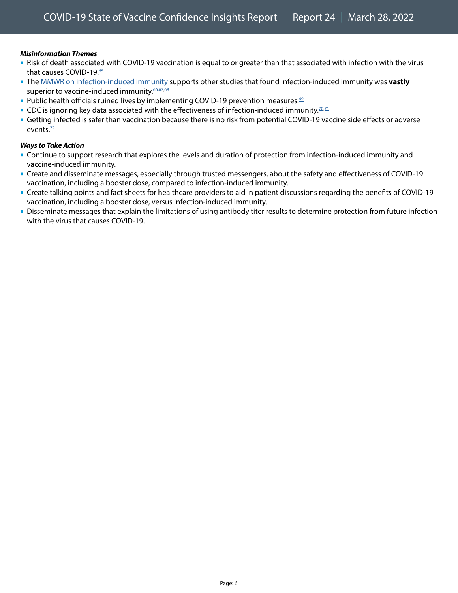## *Misinformation Themes*

- Risk of death associated with COVID-19 vaccination is equal to or greater than that associated with infection with the virus that causes COVID-19[.65](https://twitter.com/vlal42/status/1489270109533310977)
- The [MMWR on infection-induced immunity](https://www.cdc.gov/mmwr/volumes/71/wr/mm7104e1.htm) supports other studies that found infection-induced immunity was **vastly** superior to vaccine-induced immunity. [66](https://twitter.com/gitgogirl60/status/1493591887399329792)[,67,68](https://www.instagram.com/p/CaIFJMesZ1J/c/17945084278809303/)
- Public health officials ruined lives by implementing COVID-19 prevention measures.<sup>[69](https://twitter.com/jennae_m/status/1491620113975586821)</sup>
- CDC is ignoring key data associated with the effectiveness of infection-induced immunity.<sup>70,[71](https://twitter.com/RepChipRoy/status/1491856620950900738)</sup>
- Getting infected is safer than vaccination because there is no risk from potential COVID-19 vaccine side effects or adverse events. $72$

- Continue to support research that explores the levels and duration of protection from infection-induced immunity and vaccine-induced immunity.
- Create and disseminate messages, especially through trusted messengers, about the safety and effectiveness of COVID-19 vaccination, including a booster dose, compared to infection-induced immunity.
- Create talking points and fact sheets for healthcare providers to aid in patient discussions regarding the benefits of COVID-19 vaccination, including a booster dose, versus infection-induced immunity.
- Disseminate messages that explain the limitations of using antibody titer results to determine protection from future infection with the virus that causes COVID-19.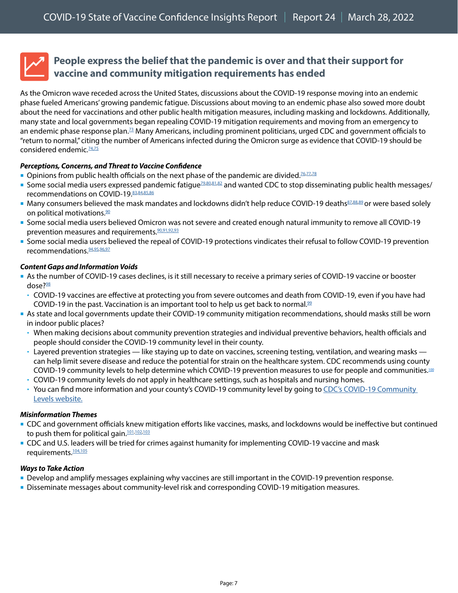

## <span id="page-6-0"></span>**People express the belief that the pandemic is over and that their support for vaccine and community mitigation requirements has ended**

As the Omicron wave receded across the United States, discussions about the COVID-19 response moving into an endemic phase fueled Americans' growing pandemic fatigue. Discussions about moving to an endemic phase also sowed more doubt about the need for vaccinations and other public health mitigation measures, including masking and lockdowns. Additionally, many state and local governments began repealing COVID-19 mitigation requirements and moving from an emergency to an endemic phase response plan.<sup>73</sup> Many Americans, including prominent politicians, urged CDC and government officials to "return to normal," citing the number of Americans infected during the Omicron surge as evidence that COVID-19 should be considered endemic.<sup>74,[75](https://www.cnbc.com/2022/02/11/covid-no-one-knows-when-the-pandemic-will-end-after-omicron-upended-most-hope.html)</sup>

### *Perceptions, Concerns, and Threat to Vaccine Confidence*

- Opinions from public health officials on the next phase of the pandemic are divided.<sup>76,[77](https://www.cnbc.com/2022/02/02/covid-will-never-become-an-endemic-virus-scientist-warns.html)[,78](https://www.politico.com/news/2022/02/03/white-house-omicron-next-phase-pandemic-00005033)</sup>
- Some social media users expressed pandemic fatigue<sup>79,[80](https://twitter.com/MarinaMedvin/status/1494429116703166465)[,81,](https://www.instagram.com/p/CaIX9vulkEO/c/17918917658245456/)[82](https://www.instagram.com/p/CZsPPSNs7hq/c/17911973597235297/)</sup> and wanted CDC to stop disseminating public health messages/ recommendations on COVID-19. 83,[84](https://www.instagram.com/p/CZ2ia1EF9sq/c/17950360762678220/)[,85](https://www.instagram.com/p/CZe4Z-vMo8E/c/17929535960013478/),[86](https://www.instagram.com/p/CZkVF0YO-Jt/c/17912687204473580/)
- Many consumers believed the mask mandates and lockdowns didn't help reduce COVID-19 deaths $87,88,89$  $87,88,89$  $87,88,89$  $87,88,89$ or were based solely on political motivations.<sup>90</sup>
- Some social media users believed Omicron was not severe and created enough natural immunity to remove all COVID-19 prevention measures and requirements. 90,[91](https://www.facebook.com/cdc/posts/317198700441575?comment_id=455512152913170&__cft__%5b0%5d=AZWk8x0WY4GDEfdfmLibj5AyYT8pTon4B7dptUHs0HnjyIiR_PU8lAziwMVq2w0E6-bes6elIFyDtFACJUOnSRvKqGEqdaFkXeTqBpWb8j7Cq2RhNbToxZS6pdXan7Ze2t_WxT_w07dB-o66EvDtXMPK&__tn__=R%5d-R)[,92,](https://www.facebook.com/cdc/posts/321313383363440?comment_id=321412546686857&__cft__%5b0%5d=AZXf2KGpHluy2ncBbIvzoq8VOKU9YBxCCcmq-kbya9VokaEU3If0CSFeTm-yqjGsv1vwT2wy8adNQ1IhiG0mOW_FFpVxpouCU1RvW2juOURf1GVn1JRufex5FGvPlMUUDAw_plNydiMlSyWwOpyO53D4&__tn__=R%5d-R)[93](https://www.linkedin.com/feed/update/urn:li:activity:6898294655625355264?commentUrn=urn%3Ali%3Acomment%3A%28activity%3A6898294655625355264%2C6898638226681159680%29)
- Some social media users believed the repeal of COVID-19 protections vindicates their refusal to follow COVID-19 prevention recommendations. 94,[95](https://www.instagram.com/p/CaIFJMesZ1J/c/18185110288164723/)[,96,](https://www.facebook.com/cdc/posts/316519290509516?comment_id=316525077175604)[97](https://www.instagram.com/p/CZkVF0YO-Jt/c/17958909040601952/)

#### *Content Gaps and Information Voids*

- As the number of COVID-19 cases declines, is it still necessary to receive a primary series of COVID-19 vaccine or booster  $dose?$ <sup>98</sup>
	- COVID-19 vaccines are effective at protecting you from severe outcomes and death from COVID-19, even if you have had COVID-19 in the past. Vaccination is an important tool to help us get back to normal. $99$
- As state and local governments update their COVID-19 community mitigation recommendations, should masks still be worn in indoor public places?
	- When making decisions about community prevention strategies and individual preventive behaviors, health officials and people should consider the COVID-19 community level in their county.
	- Layered prevention strategies like staying up to date on vaccines, screening testing, ventilation, and wearing masks can help limit severe disease and reduce the potential for strain on the healthcare system. CDC recommends using county COVID-19 community levels to help determine which COVID-19 prevention measures to use for people and communities. [100](https://www.cdc.gov/coronavirus/2019-ncov/prevent-getting-sick/about-face-coverings.html)
	- COVID-19 community levels do not apply in healthcare settings, such as hospitals and nursing homes.
	- You can find more information and your county's COVID-19 community level by going to CDC's COVID-19 Community [Levels website](https://www.cdc.gov/coronavirus/2019-ncov/science/community-levels.html?CDC_AA_refVal=https%3A%2F%2Fwww.cdc.gov%2Fcoronavirus%2F2019-ncov%2Fmore%2Faboutcovidcountycheck%2Findex.html).

#### *Misinformation Themes*

- CDC and government officials knew mitigation efforts like vaccines, masks, and lockdowns would be ineffective but continued to push them for political gain.<sup>[101](https://www.instagram.com/p/CZkVF0YO-Jt/c/17911032065469115)[,102,](https://twitter.com/TomBronco/status/1492226728244224004)[103](https://www.facebook.com/cdc/posts/310119364482842?comment_id=520400955965480&__cft__%5b0%5d=AZWi93_dtzfsaoXJdrXktaOkCkzsClgbxExcxOBBvFbtLBJzVx6rclH1srWKvNph96vt3XKLCI72HRss_BL9OGVa_kl1nOzDJIJ5yR3Wx3I5d_kMqiwE1iuPUth5IbCE2eIHFbvz4NPCRhV1ACTJril1&__tn__=R%5d-R)</sup>
- CDC and U.S. leaders will be tried for crimes against humanity for implementing COVID-19 vaccine and mask requirements.<sup>[104](https://twitter.com/MarleeTiff/status/1494760576458715136),[105](https://twitter.com/mamiller66/status/1493338641996918788)</sup>

- Develop and amplify messages explaining why vaccines are still important in the COVID-19 prevention response.
- **Disseminate messages about community-level risk and corresponding COVID-19 mitigation measures.**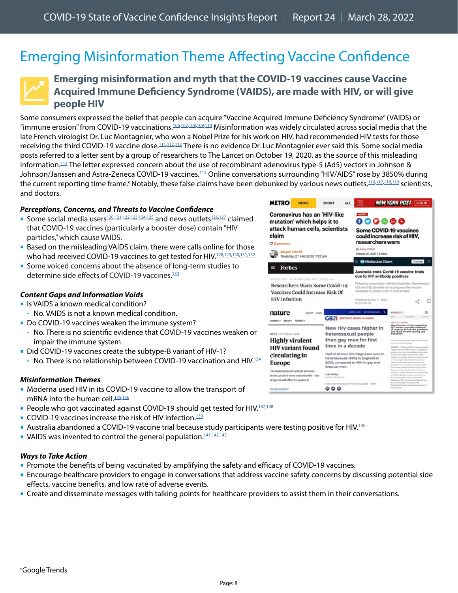# <span id="page-7-0"></span>Emerging Misinformation Theme Affecting Vaccine Confidence



## <span id="page-7-1"></span>**Emerging misinformation and myth that the COVID-19 vaccines cause Vaccine Acquired Immune Deficiency Syndrome (VAIDS), are made with HIV, or will give people HIV**

Some consumers expressed the belief that people can acquire "Vaccine Acquired Immune Deficiency Syndrome" (VAIDS) or "immune erosion" from COVID-19 vaccinations.<sup>106,[107](https://www.instagram.com/p/CZhlKygF2Cp/c/17933453116854424/),[108](https://twitter.com/kellyesorelle/status/1450572060430946311?ref_src=twsrc%5Etfw%7Ctwcamp%5Etweetembed%7Ctwterm%5E1450572060430946311%7Ctwgr%5E%7Ctwcon%5Es1_&ref_url=https%3A%2F%2Fwww.reuters.com%2Farticle%2Ffactcheck-vaccines-hiv-idUSL1N2UW10H)[,109,](https://www.facebook.com/cdc/posts/315115110649934?comment_id=315644047263707&__tn__=R)[110](https://twitter.com/Connectwith/status/1495660259972722693)</sup> Misinformation was widely circulated across social media that the late French virologist Dr. Luc Montagnier, who won a Nobel Prize for his work on HIV, had recommended HIV tests for those receiving the third COVID-19 vaccine dose.<sup>[111](https://www.reuters.com/article/factcheck-boosters-hiv-idUSL1N2UM1Q0)[,112,](https://www.facebook.com/cdc/posts/320652433429535?comment_id=320674490093996)[113](https://twitter.com/Captuus/status/1495668755489341443)</sup> There is no evidence Dr. Luc Montagnier ever said this. Some social media posts referred to a letter sent by a group of researchers to The Lancet on October 19, 2020, as the source of this misleading information.<sup>[114](https://www.reuters.com/article/factcheck-hiv-ad5-idUSL1N2UT26L)</sup> The letter expressed concern about the use of recombinant adenovirus type-5 (Ad5) vectors in Johnson & Johnson/Janssen and Astra-Zeneca COVID-19 vaccines.<sup>[115](https://www.reuters.com/article/factcheck-hiv-ad5-idUSL1N2UT26L)</sup> Online conversations surrounding "HIV/AIDS" rose by 3850% during the current reporting time frame.<sup>e</sup> Notably, these false claims have been debunked by various news outlets,<sup>116,[117](https://www.politifact.com/factchecks/2022/feb/14/facebook-posts/covid-19-vaccines-do-not-contain-hiv/),[118](https://www.euronews.com/my-europe/2022/02/10/debunked-covid-19-vaccines-do-not-create-variants-of-hiv-aids),119</sup> scientists, and doctors.

#### *Perceptions, Concerns, and Threats to Vaccine Confidence*

- Some social media users<sup>[120](https://www.instagram.com/p/CZhlKygF2Cp/c/17974305607493953/)[,121,](https://www.gettr.com/post/pvaeamdc43)[122](https://www.instagram.com/p/CZhlKygF2Cp/c/17933453116854424/),[123](https://www.facebook.com/cdc/posts/315115110649934?comment_id=315644047263707&__tn__=R)[,124,](https://twitter.com/kellyesorelle/status/1450572060430946311?ref_src=twsrc%5Etfw%7Ctwcamp%5Etweetembed%7Ctwterm%5E1450572060430946311%7Ctwgr%5E%7Ctwcon%5Es1_&ref_url=https%3A%2F%2Fwww.reuters.com%2Farticle%2Ffactcheck-vaccines-hiv-idUSL1N2UW10H)[125](https://twitter.com/MiaMia____00/status/1495764429694451715)</sup> and news outlets<sup>126,[127](https://rumble.com/vuyn6d-vaids-vaccine-acquired-immunodeficiency-syndrome-infecting-vaxxed-worldwide.html)</sup> claimed that COVID-19 vaccines (particularly a booster dose) contain "HIV particles," which cause VAIDS.
- **Based on the misleading VAIDS claim, there were calls online for those** who had received COVID-19 vaccines to get tested for HIV.<sup>128,[129](https://www.facebook.com/cdc/posts/321313383363440?comment_id=321359813358797)[,130,131,](https://www.facebook.com/cdc/posts/321313383363440?comment_id=321330433361735)[132](https://twitter.com/MandateFreeedom/status/1495981345595666433)</sup>
- Some voiced concerns about the absence of long-term studies to determine side effects of COVID-19 vaccines.<sup>133</sup>

#### *Content Gaps and Information Voids*

- Is VAIDS a known medical condition?
- No. VAIDS is not a known medical condition.
- Do COVID-19 vaccines weaken the immune system?
- No. There is no scientific evidence that COVID-19 vaccines weaken or impair the immune system.
- Did COVID-19 vaccines create the subtype-B variant of HIV-1?
	- $\cdot$  No. There is no relationship between COVID-19 vaccination and HIV.<sup>134</sup>

#### *Misinformation Themes*

- **Moderna used HIV in its COVID-19 vaccine to allow the transport of** mRNA into the human cell.<sup>[135](https://twitter.com/fukthebozos/status/1491397210638254089)[,136](https://twitter.com/dangerous_t/status/1492379869854023683)</sup>
- **People who got vaccinated against COVID-19 should get tested for HIV.**<sup>137[,138](https://www.facebook.com/cdc/posts/320652433429535?comment_id=320674490093996)</sup>
- COVID-19 vaccines increase the risk of HIV infection.<sup>139</sup>
- **Australia abandoned a COVID-19 vaccine trial because study participants were testing positive for HIV.<sup>140</sup>**
- VAIDS was invented to control the general population.<sup>141,[142,](https://twitter.com/45CaliGal/status/1495667362032340992)[143](https://twitter.com/GreggWi39353254/status/1492212747999879175)</sup>

- **Promote the benefits of being vaccinated by amplifying the safety and efficacy of COVID-19 vaccines.**
- Encourage healthcare providers to engage in conversations that address vaccine safety concerns by discussing potential side effects, vaccine benefits, and low rate of adverse events.
- **Create and disseminate messages with talking points for healthcare providers to assist them in their conversations.**

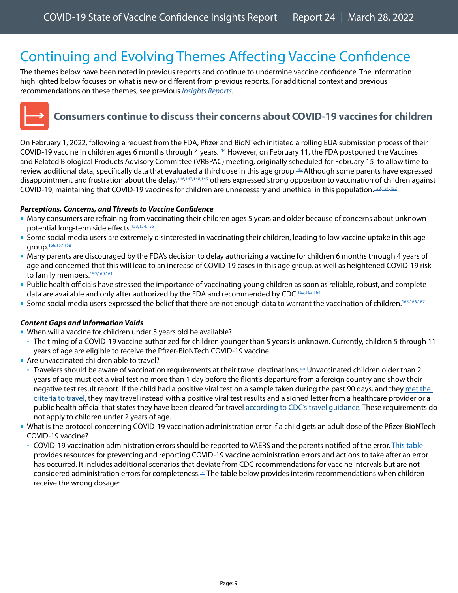# <span id="page-8-0"></span>Continuing and Evolving Themes Affecting Vaccine Confidence

The themes below have been noted in previous reports and continue to undermine vaccine confidence. The information highlighted below focuses on what is new or different from previous reports. For additional context and previous recommendations on these themes, see previous *[Insights Reports.](https://www.cdc.gov/vaccines/covid-19/vaccinate-with-confidence.html#reports)*



## <span id="page-8-1"></span>**Consumers continue to discuss their concerns about COVID-19 vaccines for children**

On February 1, 2022, following a request from the FDA, Pfizer and BioNTech initiated a rolling EUA submission process of their COVID-19 vaccine in children ages 6 months through 4 years.<sup>144</sup> However, on February 11, the FDA postponed the Vaccines and Related Biological Products Advisory Committee (VRBPAC) meeting, originally scheduled for February 15 to allow time to review additional data, specifically data that evaluated a third dose in this age group.<sup>145</sup> Although some parents have expressed disappointment and frustration about the delay,<sup>146,[147](https://twitter.com/boycrazystacy2/status/1492228595728601091)[,148,](https://twitter.com/covbaby2/status/1492209636593872898)149</sup> others expressed strong opposition to vaccination of children against COVID-19, maintaining that COVID-19 vaccines for children are unnecessary and unethical in this population.<sup>150,[151](https://www.instagram.com/p/CZzserkM7Wa/c/17879837279569101/)[,152](https://www.facebook.com/cdc/posts/310824537745658?comment_id=1008622426393065&__cft__%5b0%5d=AZXkmXWSSzI-qMp1w5AJN3OHbtDuQu8BR4Fwcln5nQsb0pswafbKfyQmXRZHHN0x_u8LLYHE7Ba_TIM2QFktCxitnSgR-cbuhYwLla9QvmeTYMKQX52jOKMMJLCOEegqgKLHuPcj0dYbV9OnkJ9kx_X0&__tn__=R%5d-R)</sup>

## *Perceptions, Concerns, and Threats to Vaccine Confidence*

- Many consumers are refraining from vaccinating their children ages 5 years and older because of concerns about unknown potential long-term side effects.<sup>153,[154](https://www.facebook.com/cdc/posts/311413064353472?comment_id=311436194351159&__cft__%5b0%5d=AZVNYxK5MC6Zt0pkpQ22HoPwTixn7wScfqVV7CnJBZMZxA3rBY0NSoEINE0yg96vSrdAce1R9fXWYIR3bp4m5KIoFFuqoGBjJTO8hWU05LDXAKpDXtOPkSmeGF406UZQmYev-Y8D4EmhsZz-WTwiXLTd&__tn__=R%5d-R),[155](https://www.facebook.com/cdc/posts/310824537745658?comment_id=310851637742948&__cft__%5b0%5d=AZXkmXWSSzI-qMp1w5AJN3OHbtDuQu8BR4Fwcln5nQsb0pswafbKfyQmXRZHHN0x_u8LLYHE7Ba_TIM2QFktCxitnSgR-cbuhYwLla9QvmeTYMKQX52jOKMMJLCOEegqgKLHuPcj0dYbV9OnkJ9kx_X0&__tn__=R%5d-R)</sup>
- Some social media users are extremely disinterested in vaccinating their children, leading to low vaccine uptake in this age group. [156](https://twitter.com/oritwolf/status/1491867475239129094), 157, [158](https://www.facebook.com/cdc/posts/310824537745658?comment_id=310960371065408&__cft__%5b0%5d=AZXkmXWSSzI-qMp1w5AJN3OHbtDuQu8BR4Fwcln5nQsb0pswafbKfyQmXRZHHN0x_u8LLYHE7Ba_TIM2QFktCxitnSgR-cbuhYwLla9QvmeTYMKQX52jOKMMJLCOEegqgKLHuPcj0dYbV9OnkJ9kx_X0&__tn__=R%5d-R)
- Many parents are discouraged by the FDA's decision to delay authorizing a vaccine for children 6 months through 4 years of age and concerned that this will lead to an increase of COVID-19 cases in this age group, as well as heightened COVID-19 risk to family members.<sup>159,[160](https://twitter.com/tab0612/status/1490841076638183425)[,161](https://twitter.com/KarenStrine3/status/1491038962294878208)</sup>
- Public health officials have stressed the importance of vaccinating young children as soon as reliable, robust, and complete data are available and only after authorized by the FDA and recommended by CDC.[162](https://www.dailymail.co.uk/health/article-10511535/Former-FDA-head-Scott-Gottlieb-warns-against-delaying-application-COVID-19-vaccine-kids.html),[163](https://twitter.com/MonicaGandhi9/status/1490025725075746816)[,164](https://www.statnews.com/2022/02/11/pfizer-and-fda-pull-back-from-plan-to-expedite-review-of-covid-19-vaccine-in-young-children/)
- Some social media users expressed the belief that there are not enough data to warrant the vaccination of children.<sup>165,[166](https://www.instagram.com/p/CZhWUjhsz1o/c/17955021796561251/),[167](https://www.instagram.com/p/CZhWUjhsz1o/c/17955021796561251/)</sup>

### *Content Gaps and Information Voids*

- When will a vaccine for children under 5 years old be available?
- The timing of a COVID-19 vaccine authorized for children younger than 5 years is unknown. Currently, children 5 through 11 years of age are eligible to receive the Pfizer-BioNTech COVID-19 vaccine.
- Are unvaccinated children able to travel?
- Travelers should be aware of vaccination requirements at their travel destinations. [168](https://wwwnc.cdc.gov/travel/page/children) Unvaccinated children older than 2 years of age must get a viral test no more than 1 day before the flight's departure from a foreign country and show their negative test result report. If the child had a positive viral test on a sample taken during the past 90 days, and they met the criteria to travel, they may travel instead with a positive viral test results and a signed letter from a healthcare provider or a public health official that states they have been cleared for travel according to CDC's travel guidance. These requirements do not apply to children under 2 years of age.
- What is the protocol concerning COVID-19 vaccination administration error if a child gets an adult dose of the Pfizer-BioNTech COVID-19 vaccine?
	- COVID-19 vaccination administration errors should be reported to VAERS and the parents notified of the error. [This table](https://www.cdc.gov/vaccines/covid-19/downloads/covid19-vaccine-errors-deviations.pdf) provides resources for preventing and reporting COVID-19 vaccine administration errors and actions to take after an error has occurred. It includes additional scenarios that deviate from CDC recommendations for vaccine intervals but are not considered administration errors for completeness[.169](https://www.cdc.gov/vaccines/covid-19/downloads/covid19-vaccine-errors-deviations.pdf) The table below provides interim recommendations when children receive the wrong dosage: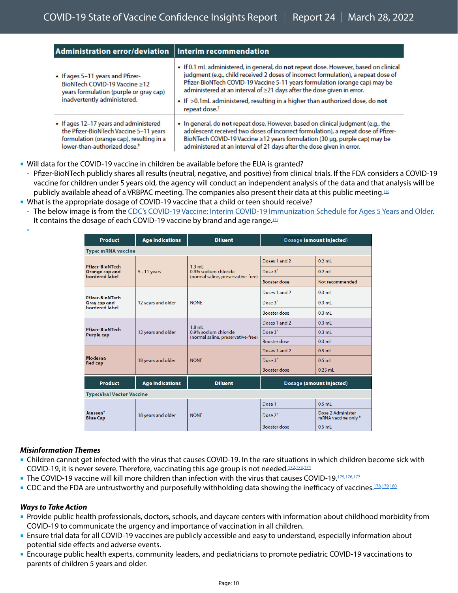| Administration error/deviation   Interim recommendation                                                                                                                  |                                                                                                                                                                                                                                                                                                                                                                                                                                                  |
|--------------------------------------------------------------------------------------------------------------------------------------------------------------------------|--------------------------------------------------------------------------------------------------------------------------------------------------------------------------------------------------------------------------------------------------------------------------------------------------------------------------------------------------------------------------------------------------------------------------------------------------|
| • If ages 5-11 years and Pfizer-<br>BioNTech COVID-19 Vaccine >12<br>years formulation (purple or gray cap)<br>inadvertently administered.                               | . If 0.1 mL administered, in general, do not repeat dose. However, based on clinical<br>judgment (e.g., child received 2 doses of incorrect formulation), a repeat dose of<br>Pfizer-BioNTech COVID-19 Vaccine 5-11 years formulation (orange cap) may be<br>administered at an interval of ≥21 days after the dose given in error.<br>• If >0.1mL administered, resulting in a higher than authorized dose, do not<br>repeat dose. <sup>†</sup> |
| • If ages 12-17 years and administered<br>the Pfizer-BioNTech Vaccine 5-11 years<br>formulation (orange cap), resulting in a<br>lower-than-authorized dose. <sup>#</sup> | . In general, do not repeat dose. However, based on clinical judgment (e.g., the<br>adolescent received two doses of incorrect formulation), a repeat dose of Pfizer-<br>BioNTech COVID-19 Vaccine ≥12 years formulation (30 µg, purple cap) may be<br>administered at an interval of 21 days after the dose given in error.                                                                                                                     |

- Will data for the COVID-19 vaccine in children be available before the EUA is granted?
- Pfizer-BioNTech publicly shares all results (neutral, negative, and positive) from clinical trials. If the FDA considers a COVID-19 vaccine for children under 5 years old, the agency will conduct an independent analysis of the data and that analysis will be publicly available ahead of a VRBPAC meeting. The companies also present their data at this public meeting.<sup>170</sup>
- What is the appropriate dosage of COVID-19 vaccine that a child or teen should receive?
- The below image is from the [CDC's COVID-19 Vaccine: Interim COVID-19 Immunization Schedule for Ages 5 Years and Older.](https://www.cdc.gov/vaccines/covid-19/downloads/COVID-19-immunization-schedule-ages-5yrs-older.pdf) It contains the dosage of each COVID-19 vaccine by brand and age range.<sup>171</sup>

| <b>Product</b>                                                    | <b>Age Indications</b> | <b>Diluent</b>                                                         | Dosage (amount injected) |                                          |  |  |  |
|-------------------------------------------------------------------|------------------------|------------------------------------------------------------------------|--------------------------|------------------------------------------|--|--|--|
| <b>Type: mRNA vaccine</b>                                         |                        |                                                                        |                          |                                          |  |  |  |
| <b>Pfizer-BioNTech</b><br><b>Orange cap and</b><br>bordered label | $5 - 11$ years         | $1.3$ mL<br>0.9% sodium chloride<br>(normal saline, preservative-free) | Doses 1 and 2            | $0.2$ mL                                 |  |  |  |
|                                                                   |                        |                                                                        | Dose 3*                  | $0.2$ mL                                 |  |  |  |
|                                                                   |                        |                                                                        | <b>Booster dose</b>      | Not recommended                          |  |  |  |
| Pfizer-BioNTech<br><b>Gray cap and</b><br>bordered label          | 12 years and older     | <b>NONE</b>                                                            | Doses 1 and 2            | $0.3$ mL                                 |  |  |  |
|                                                                   |                        |                                                                        | Dose 3*                  | $0.3$ ml                                 |  |  |  |
|                                                                   |                        |                                                                        | Booster dose             | $0.3$ ml                                 |  |  |  |
| Pfizer-BioNTech<br>Purple cap                                     | 12 years and older     | $1.8$ ml<br>0.9% sodium chloride<br>(normal saline, preservative-free) | Doses 1 and 2            | $0.3$ ml                                 |  |  |  |
|                                                                   |                        |                                                                        | Dose 3*                  | $0.3$ mL                                 |  |  |  |
|                                                                   |                        |                                                                        | <b>Booster dose</b>      | $0.3$ mL                                 |  |  |  |
| Moderna<br><b>Red cap</b>                                         | 18 years and older     | <b>NONE</b>                                                            | Doses 1 and 2            | $0.5$ mL                                 |  |  |  |
|                                                                   |                        |                                                                        | Dose 3*                  | $0.5$ mL                                 |  |  |  |
|                                                                   |                        |                                                                        | <b>Booster dose</b>      | $0.25$ ml                                |  |  |  |
| <b>Product</b>                                                    | <b>Age Indications</b> | <b>Diluent</b>                                                         | Dosage (amount injected) |                                          |  |  |  |
| <b>Type: Viral Vector Vaccine</b>                                 |                        |                                                                        |                          |                                          |  |  |  |
| Janssen <sup>t</sup><br><b>Blue Cap</b>                           | 18 years and older     | <b>NONE</b>                                                            | Dose 1                   | $0.5$ ml                                 |  |  |  |
|                                                                   |                        |                                                                        | Dose 2*                  | Dose 2 Administer<br>mRNA vaccine only # |  |  |  |
|                                                                   |                        |                                                                        | <b>Booster dose</b>      | $0.5$ mL                                 |  |  |  |

### *Misinformation Themes*

ł

- Children cannot get infected with the virus that causes COVID-19. In the rare situations in which children become sick with COVID-19, it is never severe. Therefore, vaccinating this age group is not needed.<sup>172,[173](https://www.instagram.com/p/CZzserkM7Wa/c/17879837279569101/)[,174](https://www.facebook.com/cdc/posts/319204706907641?comment_id=319208473573931&__tn__=R*F)</sup>
- The COVID-19 vaccine will kill more children than infection with the virus that causes COVID-19[.175,](https://www.instagram.com/p/CZfVi9csOUh/c/17962863400516518/)[176](https://www.instagram.com/p/CZfVi9csOUh/c/17921930609165612/),[177](https://twitter.com/dennis1571971_a/status/1492908956406018050)
- CDC and the FDA are untrustworthy and purposefully withholding data showing the inefficacy of vaccines.<sup>[178](https://twitter.com/internetraver/status/1488949846241386497),[179](https://www.instagram.com/p/CZfVi9csOUh/c/17921930609165612/)[,180](https://twitter.com/Angelic_Mtz428/status/1488988325847474184)</sup>

- Provide public health professionals, doctors, schools, and daycare centers with information about childhood morbidity from COVID-19 to communicate the urgency and importance of vaccination in all children.
- Ensure trial data for all COVID-19 vaccines are publicly accessible and easy to understand, especially information about potential side effects and adverse events.
- Encourage public health experts, community leaders, and pediatricians to promote pediatric COVID-19 vaccinations to parents of children 5 years and older.